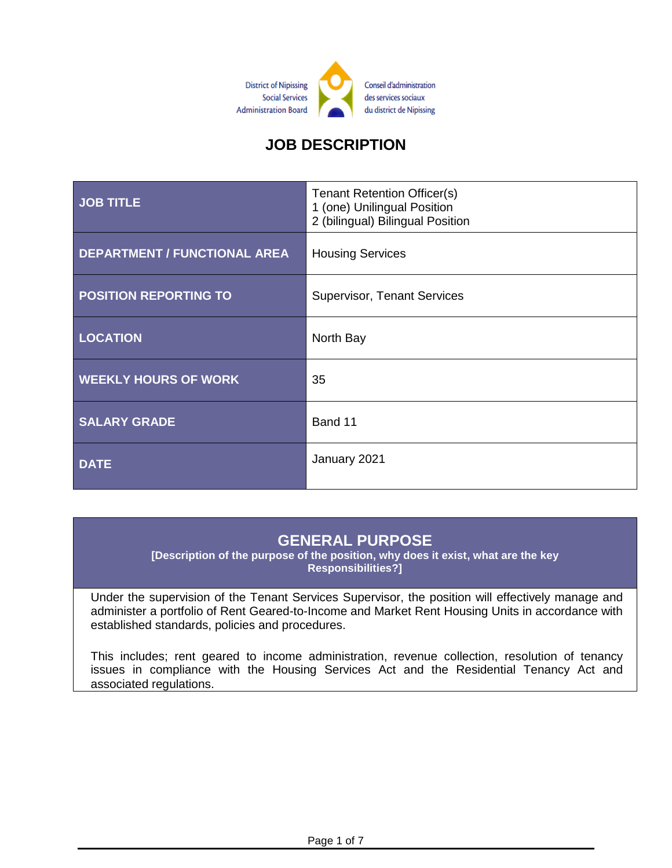

# **JOB DESCRIPTION**

| <b>JOB TITLE</b>                    | <b>Tenant Retention Officer(s)</b><br>1 (one) Unilingual Position<br>2 (bilingual) Bilingual Position |
|-------------------------------------|-------------------------------------------------------------------------------------------------------|
| <b>DEPARTMENT / FUNCTIONAL AREA</b> | <b>Housing Services</b>                                                                               |
| <b>POSITION REPORTING TO</b>        | <b>Supervisor, Tenant Services</b>                                                                    |
| <b>LOCATION</b>                     | North Bay                                                                                             |
| <b>WEEKLY HOURS OF WORK</b>         | 35                                                                                                    |
| <b>SALARY GRADE</b>                 | Band 11                                                                                               |
| <b>DATE</b>                         | January 2021                                                                                          |

#### **GENERAL PURPOSE**

**[Description of the purpose of the position, why does it exist, what are the key Responsibilities?]**

Under the supervision of the Tenant Services Supervisor, the position will effectively manage and administer a portfolio of Rent Geared-to-Income and Market Rent Housing Units in accordance with established standards, policies and procedures.

This includes; rent geared to income administration, revenue collection, resolution of tenancy issues in compliance with the Housing Services Act and the Residential Tenancy Act and associated regulations.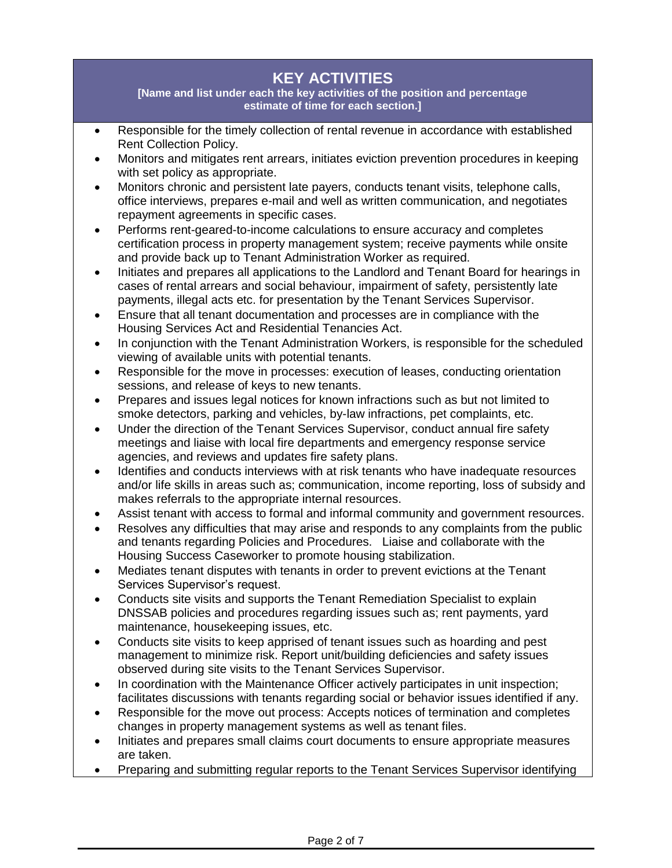### **KEY ACTIVITIES**

**[Name and list under each the key activities of the position and percentage estimate of time for each section.]**

- Responsible for the timely collection of rental revenue in accordance with established Rent Collection Policy.
- Monitors and mitigates rent arrears, initiates eviction prevention procedures in keeping with set policy as appropriate.
- Monitors chronic and persistent late payers, conducts tenant visits, telephone calls, office interviews, prepares e-mail and well as written communication, and negotiates repayment agreements in specific cases.
- Performs rent-geared-to-income calculations to ensure accuracy and completes certification process in property management system; receive payments while onsite and provide back up to Tenant Administration Worker as required.
- Initiates and prepares all applications to the Landlord and Tenant Board for hearings in cases of rental arrears and social behaviour, impairment of safety, persistently late payments, illegal acts etc. for presentation by the Tenant Services Supervisor.
- Ensure that all tenant documentation and processes are in compliance with the Housing Services Act and Residential Tenancies Act.
- In conjunction with the Tenant Administration Workers, is responsible for the scheduled viewing of available units with potential tenants.
- Responsible for the move in processes: execution of leases, conducting orientation sessions, and release of keys to new tenants.
- Prepares and issues legal notices for known infractions such as but not limited to smoke detectors, parking and vehicles, by-law infractions, pet complaints, etc.
- Under the direction of the Tenant Services Supervisor, conduct annual fire safety meetings and liaise with local fire departments and emergency response service agencies, and reviews and updates fire safety plans.
- Identifies and conducts interviews with at risk tenants who have inadequate resources and/or life skills in areas such as; communication, income reporting, loss of subsidy and makes referrals to the appropriate internal resources.
- Assist tenant with access to formal and informal community and government resources.
- Resolves any difficulties that may arise and responds to any complaints from the public and tenants regarding Policies and Procedures. Liaise and collaborate with the Housing Success Caseworker to promote housing stabilization.
- Mediates tenant disputes with tenants in order to prevent evictions at the Tenant Services Supervisor's request.
- Conducts site visits and supports the Tenant Remediation Specialist to explain DNSSAB policies and procedures regarding issues such as; rent payments, yard maintenance, housekeeping issues, etc.
- Conducts site visits to keep apprised of tenant issues such as hoarding and pest management to minimize risk. Report unit/building deficiencies and safety issues observed during site visits to the Tenant Services Supervisor.
- In coordination with the Maintenance Officer actively participates in unit inspection; facilitates discussions with tenants regarding social or behavior issues identified if any.
- Responsible for the move out process: Accepts notices of termination and completes changes in property management systems as well as tenant files.
- Initiates and prepares small claims court documents to ensure appropriate measures are taken.
- Preparing and submitting regular reports to the Tenant Services Supervisor identifying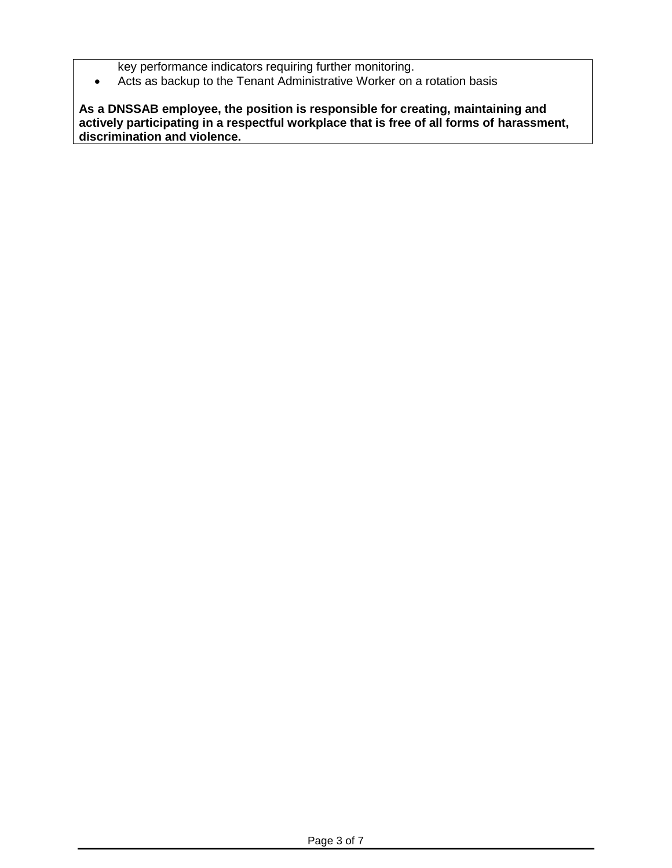key performance indicators requiring further monitoring.

Acts as backup to the Tenant Administrative Worker on a rotation basis

**As a DNSSAB employee, the position is responsible for creating, maintaining and actively participating in a respectful workplace that is free of all forms of harassment, discrimination and violence.**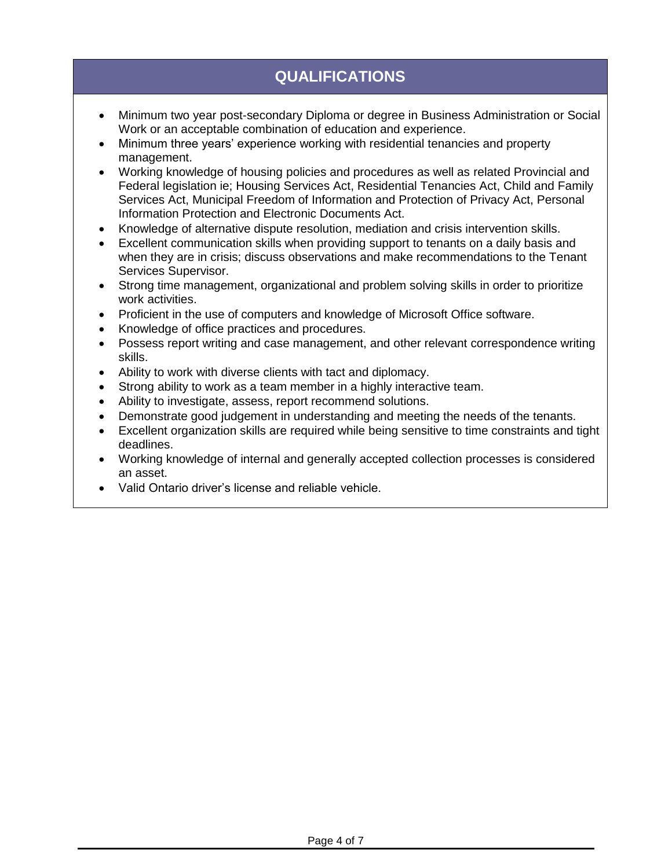# **QUALIFICATIONS**

- Minimum two year post-secondary Diploma or degree in Business Administration or Social Work or an acceptable combination of education and experience.
- Minimum three years' experience working with residential tenancies and property management.
- Working knowledge of housing policies and procedures as well as related Provincial and Federal legislation ie; Housing Services Act, Residential Tenancies Act, Child and Family Services Act, Municipal Freedom of Information and Protection of Privacy Act, Personal Information Protection and Electronic Documents Act.
- Knowledge of alternative dispute resolution, mediation and crisis intervention skills.
- Excellent communication skills when providing support to tenants on a daily basis and when they are in crisis; discuss observations and make recommendations to the Tenant Services Supervisor.
- Strong time management, organizational and problem solving skills in order to prioritize work activities.
- Proficient in the use of computers and knowledge of Microsoft Office software.
- Knowledge of office practices and procedures.
- Possess report writing and case management, and other relevant correspondence writing skills.
- Ability to work with diverse clients with tact and diplomacy.
- Strong ability to work as a team member in a highly interactive team.
- Ability to investigate, assess, report recommend solutions.
- Demonstrate good judgement in understanding and meeting the needs of the tenants.
- Excellent organization skills are required while being sensitive to time constraints and tight deadlines.
- Working knowledge of internal and generally accepted collection processes is considered an asset.
- Valid Ontario driver's license and reliable vehicle.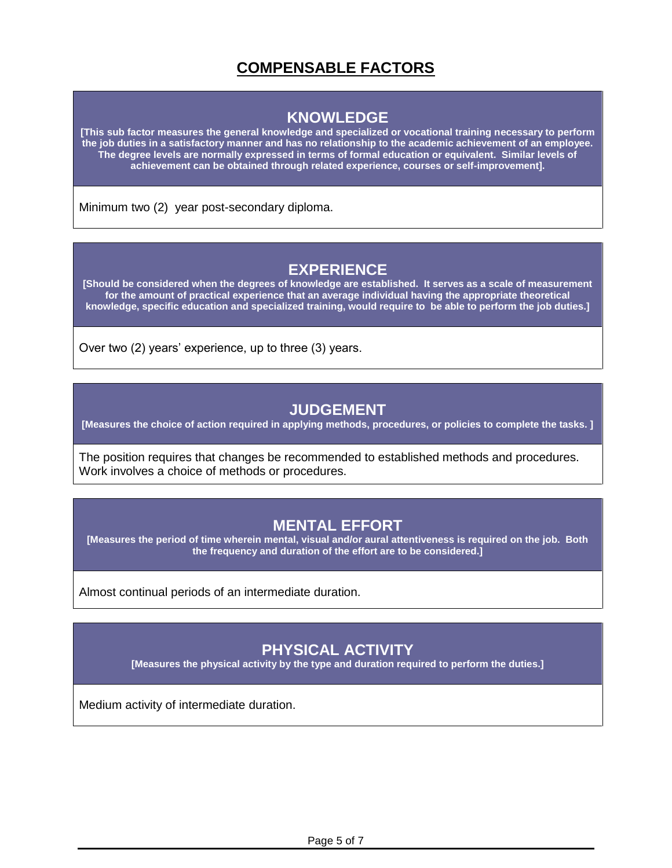# **COMPENSABLE FACTORS**

#### **KNOWLEDGE**

**[This sub factor measures the general knowledge and specialized or vocational training necessary to perform the job duties in a satisfactory manner and has no relationship to the academic achievement of an employee. The degree levels are normally expressed in terms of formal education or equivalent. Similar levels of achievement can be obtained through related experience, courses or self-improvement].**

Minimum two (2) year post-secondary diploma.

### **EXPERIENCE**

**[Should be considered when the degrees of knowledge are established. It serves as a scale of measurement for the amount of practical experience that an average individual having the appropriate theoretical knowledge, specific education and specialized training, would require to be able to perform the job duties.]**

Over two (2) years' experience, up to three (3) years.

#### **JUDGEMENT**

**[Measures the choice of action required in applying methods, procedures, or policies to complete the tasks. ]**

The position requires that changes be recommended to established methods and procedures. Work involves a choice of methods or procedures.

#### **MENTAL EFFORT**

**[Measures the period of time wherein mental, visual and/or aural attentiveness is required on the job. Both the frequency and duration of the effort are to be considered.]**

Almost continual periods of an intermediate duration.

#### **PHYSICAL ACTIVITY**

**[Measures the physical activity by the type and duration required to perform the duties.]**

Medium activity of intermediate duration.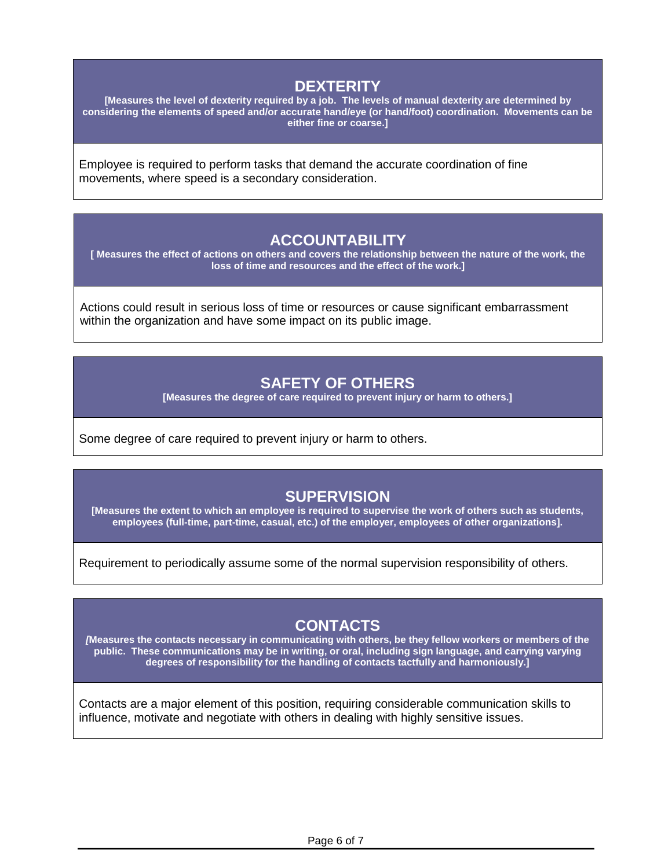### **DEXTERITY**

**[Measures the level of dexterity required by a job. The levels of manual dexterity are determined by considering the elements of speed and/or accurate hand/eye (or hand/foot) coordination. Movements can be either fine or coarse.]**

Employee is required to perform tasks that demand the accurate coordination of fine movements, where speed is a secondary consideration.

#### **ACCOUNTABILITY**

**[ Measures the effect of actions on others and covers the relationship between the nature of the work, the loss of time and resources and the effect of the work.]**

Actions could result in serious loss of time or resources or cause significant embarrassment within the organization and have some impact on its public image.

#### **SAFETY OF OTHERS**

**[Measures the degree of care required to prevent injury or harm to others.]**

Some degree of care required to prevent injury or harm to others.

### **SUPERVISION**

**[Measures the extent to which an employee is required to supervise the work of others such as students, employees (full-time, part-time, casual, etc.) of the employer, employees of other organizations].**

Requirement to periodically assume some of the normal supervision responsibility of others.

#### **CONTACTS**

*[***Measures the contacts necessary in communicating with others, be they fellow workers or members of the public. These communications may be in writing, or oral, including sign language, and carrying varying degrees of responsibility for the handling of contacts tactfully and harmoniously.]**

Contacts are a major element of this position, requiring considerable communication skills to influence, motivate and negotiate with others in dealing with highly sensitive issues.